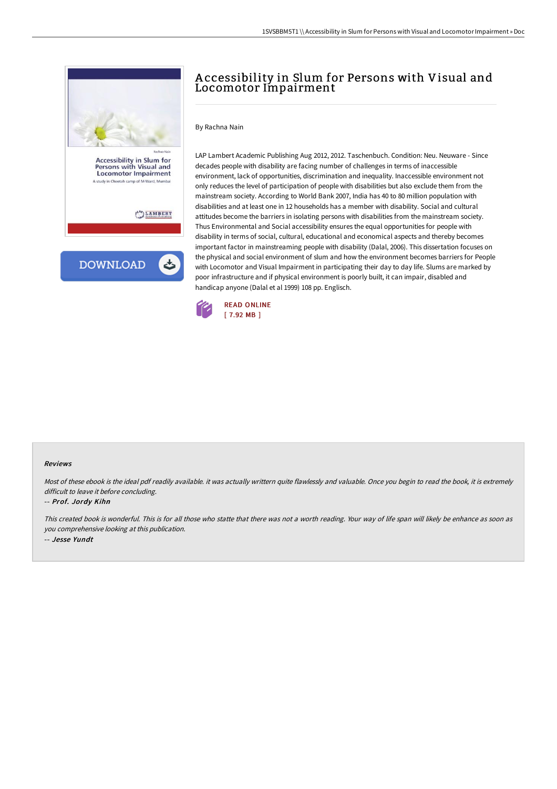

## A ccessibility in Slum for Persons with Visual and Locomotor Impairment

By Rachna Nain

LAP Lambert Academic Publishing Aug 2012, 2012. Taschenbuch. Condition: Neu. Neuware - Since decades people with disability are facing number of challenges in terms of inaccessible environment, lack of opportunities, discrimination and inequality. Inaccessible environment not only reduces the level of participation of people with disabilities but also exclude them from the mainstream society. According to World Bank 2007, India has 40 to 80 million population with disabilities and at least one in 12 households has a member with disability. Social and cultural attitudes become the barriers in isolating persons with disabilities from the mainstream society. Thus Environmental and Social accessibility ensures the equal opportunities for people with disability in terms of social, cultural, educational and economical aspects and thereby becomes important factor in mainstreaming people with disability (Dalal, 2006). This dissertation focuses on the physical and social environment of slum and how the environment becomes barriers for People with Locomotor and Visual Impairment in participating their day to day life. Slums are marked by poor infrastructure and if physical environment is poorly built, it can impair, disabled and handicap anyone (Dalal et al 1999) 108 pp. Englisch.



## Reviews

Most of these ebook is the ideal pdf readily available. it was actually writtern quite flawlessly and valuable. Once you begin to read the book, it is extremely difficult to leave it before concluding.

## -- Prof. Jordy Kihn

This created book is wonderful. This is for all those who statte that there was not <sup>a</sup> worth reading. Your way of life span will likely be enhance as soon as you comprehensive looking at this publication. -- Jesse Yundt